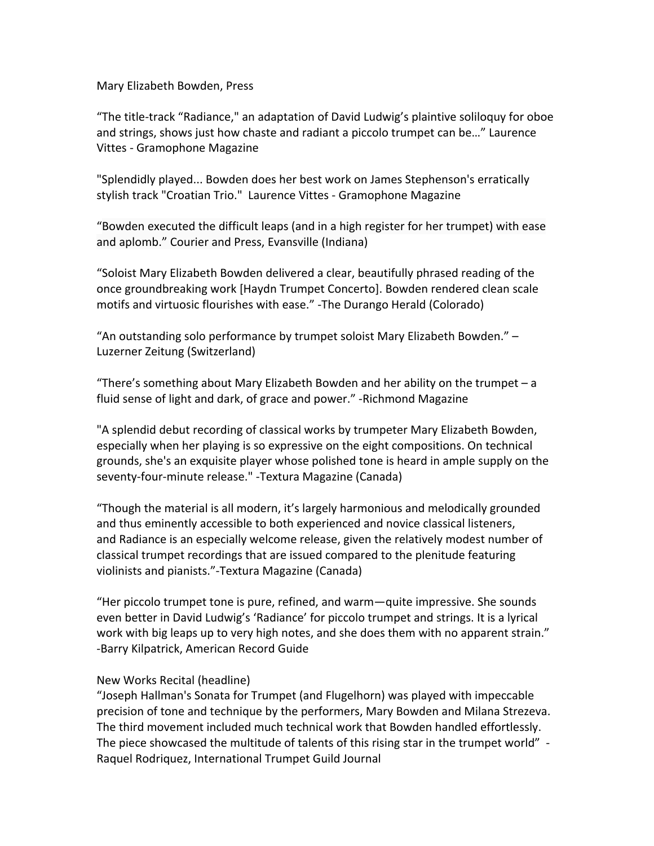Mary Elizabeth Bowden, Press

"The title-track "Radiance," an adaptation of David Ludwig's plaintive soliloquy for oboe and strings, shows just how chaste and radiant a piccolo trumpet can be..." Laurence Vittes - Gramophone Magazine

"Splendidly played... Bowden does her best work on James Stephenson's erratically stylish track "Croatian Trio." Laurence Vittes - Gramophone Magazine

"Bowden executed the difficult leaps (and in a high register for her trumpet) with ease and aplomb." Courier and Press, Evansville (Indiana)

"Soloist Mary Elizabeth Bowden delivered a clear, beautifully phrased reading of the once groundbreaking work [Haydn Trumpet Concerto]. Bowden rendered clean scale motifs and virtuosic flourishes with ease." -The Durango Herald (Colorado)

"An outstanding solo performance by trumpet soloist Mary Elizabeth Bowden."  $-$ Luzerner Zeitung (Switzerland)

"There's something about Mary Elizabeth Bowden and her ability on the trumpet – a fluid sense of light and dark, of grace and power." -Richmond Magazine

"A splendid debut recording of classical works by trumpeter Mary Elizabeth Bowden, especially when her playing is so expressive on the eight compositions. On technical grounds, she's an exquisite player whose polished tone is heard in ample supply on the seventy-four-minute release." -Textura Magazine (Canada)

"Though the material is all modern, it's largely harmonious and melodically grounded and thus eminently accessible to both experienced and novice classical listeners, and Radiance is an especially welcome release, given the relatively modest number of classical trumpet recordings that are issued compared to the plenitude featuring violinists and pianists."-Textura Magazine (Canada)

"Her piccolo trumpet tone is pure, refined, and warm—quite impressive. She sounds even better in David Ludwig's 'Radiance' for piccolo trumpet and strings. It is a lyrical work with big leaps up to very high notes, and she does them with no apparent strain." -Barry Kilpatrick, American Record Guide

## New Works Recital (headline)

"Joseph Hallman's Sonata for Trumpet (and Flugelhorn) was played with impeccable precision of tone and technique by the performers, Mary Bowden and Milana Strezeva. The third movement included much technical work that Bowden handled effortlessly. The piece showcased the multitude of talents of this rising star in the trumpet world" -Raquel Rodriquez, International Trumpet Guild Journal